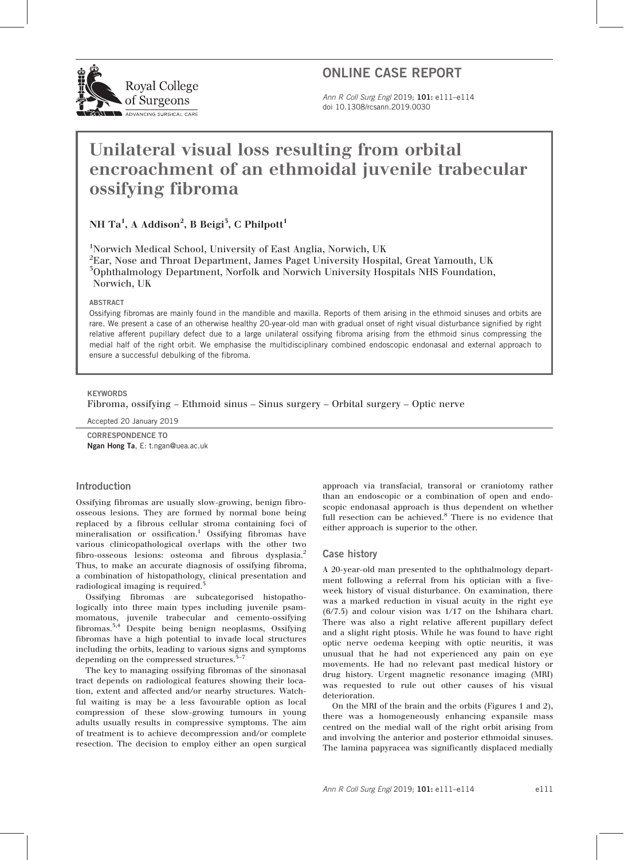

## ONLINE CASE REPORT

Ann R Coll Surg Engl 2019; 101: e111–e114 doi 10.1308/rcsann.2019.0030

# Unilateral visual loss resulting from orbital encroachment of an ethmoidal juvenile trabecular ossifying fibroma

## NH Ta $^1\!,$  A Addison $^2\!,$  B Beigi $^5\!,$  C Philpott $^1$

1 Norwich Medical School, University of East Anglia, Norwich, UK  $\rm{^{2}E}$ ar, Nose and Throat Department, James Paget University Hospital, Great Yamouth, UK 3 Ophthalmology Department, Norfolk and Norwich University Hospitals NHS Foundation, Norwich, UK

#### ABSTRACT

Ossifying fibromas are mainly found in the mandible and maxilla. Reports of them arising in the ethmoid sinuses and orbits are rare. We present a case of an otherwise healthy 20-year-old man with gradual onset of right visual disturbance signified by right relative afferent pupillary defect due to a large unilateral ossifying fibroma arising from the ethmoid sinus compressing the medial half of the right orbit. We emphasise the multidisciplinary combined endoscopic endonasal and external approach to ensure a successful debulking of the fibroma.

#### **KEYWORDS**

Fibroma, ossifying – Ethmoid sinus – Sinus surgery – Orbital surgery – Optic nerve

Accepted 20 January 2019

CORRESPONDENCE TO Ngan Hong Ta, E: t.ngan@uea.ac.uk

### Introduction

Ossifying fibromas are usually slow-growing, benign fibroosseous lesions. They are formed by normal bone being replaced by a fibrous cellular stroma containing foci of mineralisation or ossification.<sup>1</sup> Ossifying fibromas have various clinicopathological overlaps with the other two fibro-osseous lesions: osteoma and fibrous dysplasia.<sup>2</sup> Thus, to make an accurate diagnosis of ossifying fibroma, a combination of histopathology, clinical presentation and radiological imaging is required.<sup>3</sup>

Ossifying fibromas are subcategorised histopathologically into three main types including juvenile psammomatous, juvenile trabecular and cemento-ossifying fibromas.3,4 Despite being benign neoplasms, Ossifying fibromas have a high potential to invade local structures including the orbits, leading to various signs and symptoms depending on the compressed structures. $5-7$ 

The key to managing ossifying fibromas of the sinonasal tract depends on radiological features showing their location, extent and affected and/or nearby structures. Watchful waiting is may be a less favourable option as local compression of these slow-growing tumours in young adults usually results in compressive symptoms. The aim of treatment is to achieve decompression and/or complete resection. The decision to employ either an open surgical approach via transfacial, transoral or craniotomy rather than an endoscopic or a combination of open and endoscopic endonasal approach is thus dependent on whether full resection can be achieved.<sup>8</sup> There is no evidence that either approach is superior to the other.

#### Case history

A 20-year-old man presented to the ophthalmology department following a referral from his optician with a fiveweek history of visual disturbance. On examination, there was a marked reduction in visual acuity in the right eye (6/7.5) and colour vision was 1/17 on the Ishihara chart. There was also a right relative afferent pupillary defect and a slight right ptosis. While he was found to have right optic nerve oedema keeping with optic neuritis, it was unusual that he had not experienced any pain on eye movements. He had no relevant past medical history or drug history. Urgent magnetic resonance imaging (MRI) was requested to rule out other causes of his visual deterioration.

On the MRI of the brain and the orbits (Figures 1 and 2), there was a homogeneously enhancing expansile mass centred on the medial wall of the right orbit arising from and involving the anterior and posterior ethmoidal sinuses. The lamina papyracea was significantly displaced medially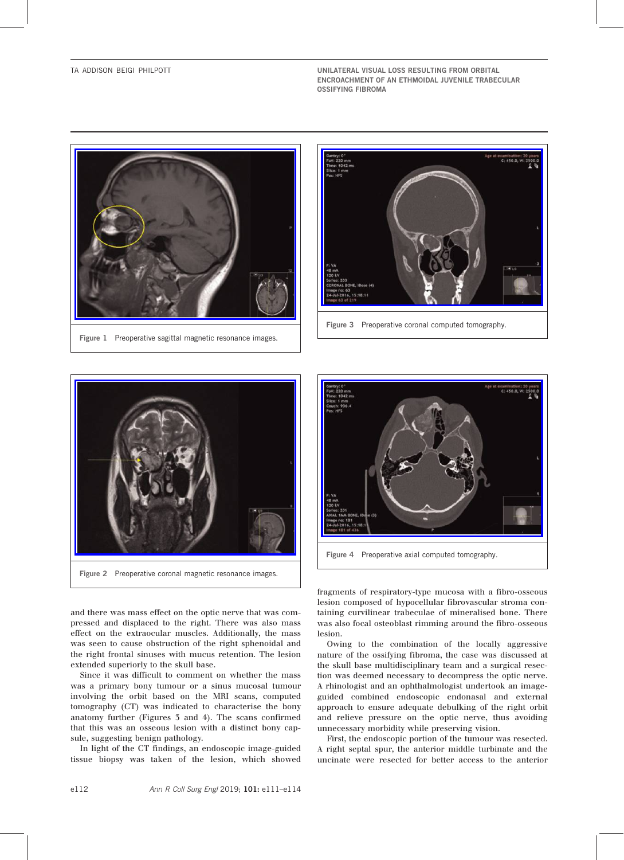TA ADDISON BEIGI PHILPOTT UNILATERAL VISUAL LOSS RESULTING FROM ORBITAL ENCROACHMENT OF AN ETHMOIDAL JUVENILE TRABECULAR OSSIFYING FIBROMA



Figure 1 Preoperative sagittal magnetic resonance images.



Figure 3 Preoperative coronal computed tomography.



Figure 2 Preoperative coronal magnetic resonance images.

and there was mass effect on the optic nerve that was compressed and displaced to the right. There was also mass effect on the extraocular muscles. Additionally, the mass was seen to cause obstruction of the right sphenoidal and the right frontal sinuses with mucus retention. The lesion extended superiorly to the skull base.

Since it was difficult to comment on whether the mass was a primary bony tumour or a sinus mucosal tumour involving the orbit based on the MRI scans, computed tomography (CT) was indicated to characterise the bony anatomy further (Figures 3 and 4). The scans confirmed that this was an osseous lesion with a distinct bony capsule, suggesting benign pathology.

In light of the CT findings, an endoscopic image-guided tissue biopsy was taken of the lesion, which showed



Figure 4 Preoperative axial computed tomography.

fragments of respiratory-type mucosa with a fibro-osseous lesion composed of hypocellular fibrovascular stroma containing curvilinear trabeculae of mineralised bone. There was also focal osteoblast rimming around the fibro-osseous lesion.

Owing to the combination of the locally aggressive nature of the ossifying fibroma, the case was discussed at the skull base multidisciplinary team and a surgical resection was deemed necessary to decompress the optic nerve. A rhinologist and an ophthalmologist undertook an imageguided combined endoscopic endonasal and external approach to ensure adequate debulking of the right orbit and relieve pressure on the optic nerve, thus avoiding unnecessary morbidity while preserving vision.

First, the endoscopic portion of the tumour was resected. A right septal spur, the anterior middle turbinate and the uncinate were resected for better access to the anterior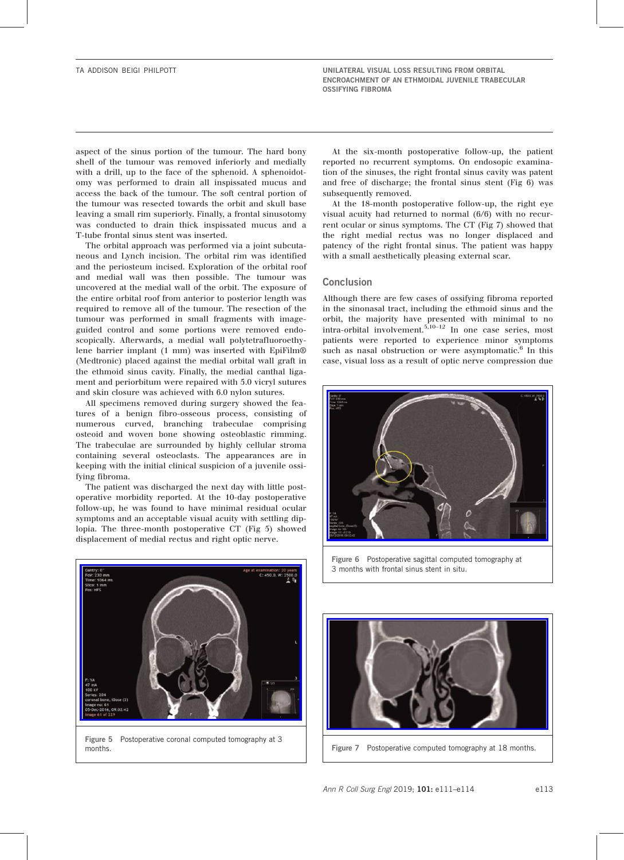aspect of the sinus portion of the tumour. The hard bony shell of the tumour was removed inferiorly and medially with a drill, up to the face of the sphenoid. A sphenoidotomy was performed to drain all inspissated mucus and access the back of the tumour. The soft central portion of the tumour was resected towards the orbit and skull base leaving a small rim superiorly. Finally, a frontal sinusotomy was conducted to drain thick inspissated mucus and a T-tube frontal sinus stent was inserted.

The orbital approach was performed via a joint subcutaneous and Lynch incision. The orbital rim was identified and the periosteum incised. Exploration of the orbital roof and medial wall was then possible. The tumour was uncovered at the medial wall of the orbit. The exposure of the entire orbital roof from anterior to posterior length was required to remove all of the tumour. The resection of the tumour was performed in small fragments with imageguided control and some portions were removed endoscopically. Afterwards, a medial wall polytetrafluoroethylene barrier implant (1 mm) was inserted with EpiFilm® (Medtronic) placed against the medial orbital wall graft in the ethmoid sinus cavity. Finally, the medial canthal ligament and periorbitum were repaired with 5.0 vicryl sutures and skin closure was achieved with 6.0 nylon sutures.

All specimens removed during surgery showed the features of a benign fibro-osseous process, consisting of numerous curved, branching trabeculae comprising osteoid and woven bone showing osteoblastic rimming. The trabeculae are surrounded by highly cellular stroma containing several osteoclasts. The appearances are in keeping with the initial clinical suspicion of a juvenile ossifying fibroma.

The patient was discharged the next day with little postoperative morbidity reported. At the 10-day postoperative follow-up, he was found to have minimal residual ocular symptoms and an acceptable visual acuity with settling diplopia. The three-month postoperative CT (Fig 5) showed displacement of medial rectus and right optic nerve.

At the six-month postoperative follow-up, the patient reported no recurrent symptoms. On endosopic examination of the sinuses, the right frontal sinus cavity was patent and free of discharge; the frontal sinus stent (Fig 6) was subsequently removed.

At the 18-month postoperative follow-up, the right eye visual acuity had returned to normal (6/6) with no recurrent ocular or sinus symptoms. The CT (Fig 7) showed that the right medial rectus was no longer displaced and patency of the right frontal sinus. The patient was happy with a small aesthetically pleasing external scar.

## **Conclusion**

Although there are few cases of ossifying fibroma reported in the sinonasal tract, including the ethmoid sinus and the orbit, the majority have presented with minimal to no intra-orbital involvement.5,10–<sup>12</sup> In one case series, most patients were reported to experience minor symptoms such as nasal obstruction or were asymptomatic.<sup>6</sup> In this case, visual loss as a result of optic nerve compression due





Figure 5 Postoperative coronal computed tomography at 3

Figure 6 Postoperative sagittal computed tomography at 3 months with frontal sinus stent in situ.